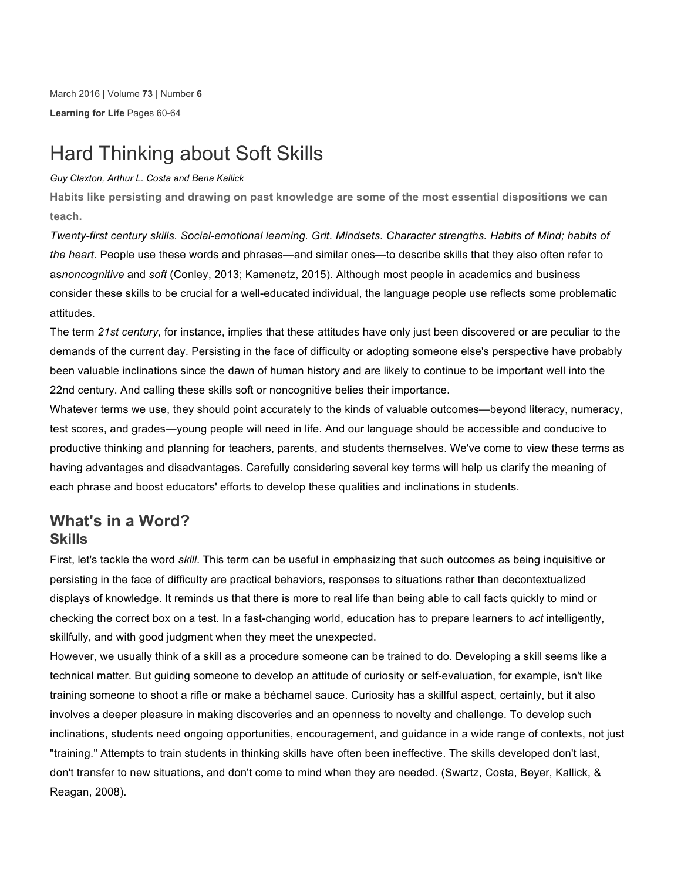March 2016 | Volume **73** | Number **6 Learning for Life** Pages 60-64

# Hard Thinking about Soft Skills

#### *Guy Claxton, Arthur L. Costa and Bena Kallick*

**Habits like persisting and drawing on past knowledge are some of the most essential dispositions we can teach.**

*Twenty-first century skills. Social-emotional learning. Grit. Mindsets. Character strengths. Habits of Mind; habits of the heart*. People use these words and phrases—and similar ones—to describe skills that they also often refer to as*noncognitive* and *soft* (Conley, 2013; Kamenetz, 2015). Although most people in academics and business consider these skills to be crucial for a well-educated individual, the language people use reflects some problematic attitudes.

The term *21st century*, for instance, implies that these attitudes have only just been discovered or are peculiar to the demands of the current day. Persisting in the face of difficulty or adopting someone else's perspective have probably been valuable inclinations since the dawn of human history and are likely to continue to be important well into the 22nd century. And calling these skills soft or noncognitive belies their importance.

Whatever terms we use, they should point accurately to the kinds of valuable outcomes—beyond literacy, numeracy, test scores, and grades—young people will need in life. And our language should be accessible and conducive to productive thinking and planning for teachers, parents, and students themselves. We've come to view these terms as having advantages and disadvantages. Carefully considering several key terms will help us clarify the meaning of each phrase and boost educators' efforts to develop these qualities and inclinations in students.

## **What's in a Word? Skills**

First, let's tackle the word *skill*. This term can be useful in emphasizing that such outcomes as being inquisitive or persisting in the face of difficulty are practical behaviors, responses to situations rather than decontextualized displays of knowledge. It reminds us that there is more to real life than being able to call facts quickly to mind or checking the correct box on a test. In a fast-changing world, education has to prepare learners to *act* intelligently, skillfully, and with good judgment when they meet the unexpected.

However, we usually think of a skill as a procedure someone can be trained to do. Developing a skill seems like a technical matter. But guiding someone to develop an attitude of curiosity or self-evaluation, for example, isn't like training someone to shoot a rifle or make a béchamel sauce. Curiosity has a skillful aspect, certainly, but it also involves a deeper pleasure in making discoveries and an openness to novelty and challenge. To develop such inclinations, students need ongoing opportunities, encouragement, and guidance in a wide range of contexts, not just "training." Attempts to train students in thinking skills have often been ineffective. The skills developed don't last, don't transfer to new situations, and don't come to mind when they are needed. (Swartz, Costa, Beyer, Kallick, & Reagan, 2008).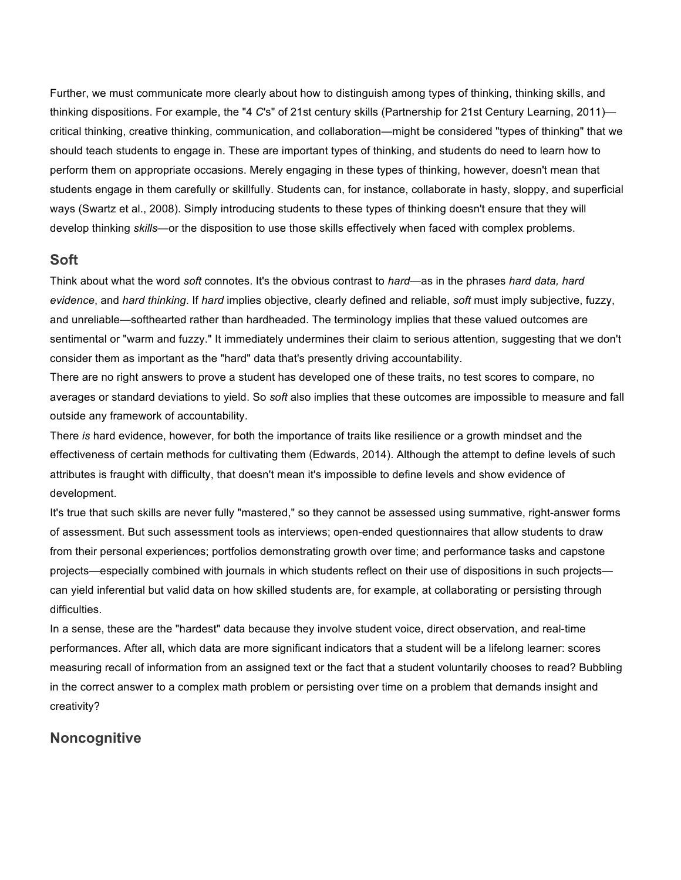Further, we must communicate more clearly about how to distinguish among types of thinking, thinking skills, and thinking dispositions. For example, the "4 *C*'s" of 21st century skills (Partnership for 21st Century Learning, 2011) critical thinking, creative thinking, communication, and collaboration—might be considered "types of thinking" that we should teach students to engage in. These are important types of thinking, and students do need to learn how to perform them on appropriate occasions. Merely engaging in these types of thinking, however, doesn't mean that students engage in them carefully or skillfully. Students can, for instance, collaborate in hasty, sloppy, and superficial ways (Swartz et al., 2008). Simply introducing students to these types of thinking doesn't ensure that they will develop thinking *skills*—or the disposition to use those skills effectively when faced with complex problems.

#### **Soft**

Think about what the word *soft* connotes. It's the obvious contrast to *hard*—as in the phrases *hard data, hard evidence*, and *hard thinking*. If *hard* implies objective, clearly defined and reliable, *soft* must imply subjective, fuzzy, and unreliable—softhearted rather than hardheaded. The terminology implies that these valued outcomes are sentimental or "warm and fuzzy." It immediately undermines their claim to serious attention, suggesting that we don't consider them as important as the "hard" data that's presently driving accountability.

There are no right answers to prove a student has developed one of these traits, no test scores to compare, no averages or standard deviations to yield. So *soft* also implies that these outcomes are impossible to measure and fall outside any framework of accountability.

There *is* hard evidence, however, for both the importance of traits like resilience or a growth mindset and the effectiveness of certain methods for cultivating them (Edwards, 2014). Although the attempt to define levels of such attributes is fraught with difficulty, that doesn't mean it's impossible to define levels and show evidence of development.

It's true that such skills are never fully "mastered," so they cannot be assessed using summative, right-answer forms of assessment. But such assessment tools as interviews; open-ended questionnaires that allow students to draw from their personal experiences; portfolios demonstrating growth over time; and performance tasks and capstone projects—especially combined with journals in which students reflect on their use of dispositions in such projects can yield inferential but valid data on how skilled students are, for example, at collaborating or persisting through difficulties.

In a sense, these are the "hardest" data because they involve student voice, direct observation, and real-time performances. After all, which data are more significant indicators that a student will be a lifelong learner: scores measuring recall of information from an assigned text or the fact that a student voluntarily chooses to read? Bubbling in the correct answer to a complex math problem or persisting over time on a problem that demands insight and creativity?

### **Noncognitive**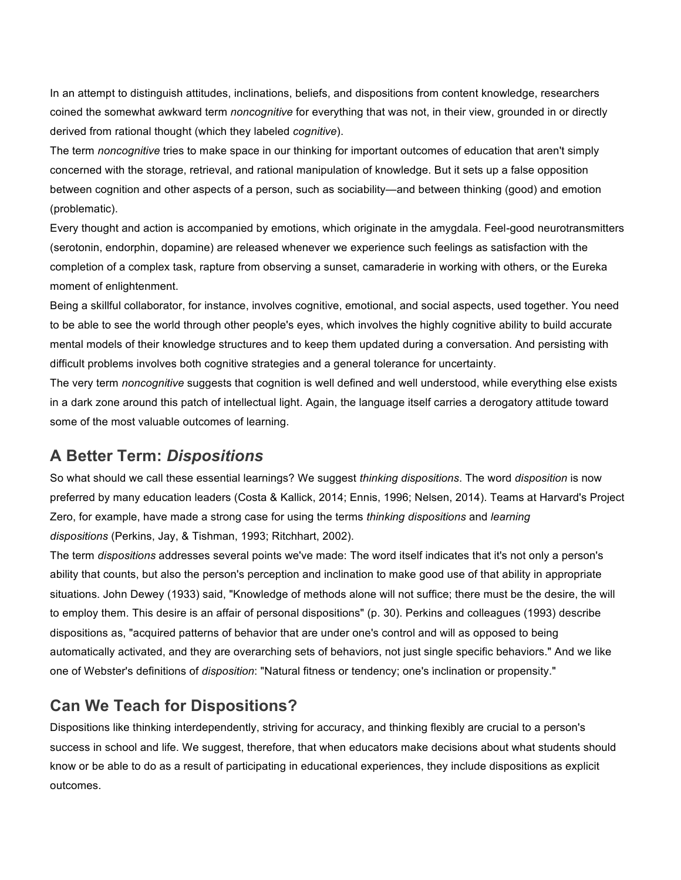In an attempt to distinguish attitudes, inclinations, beliefs, and dispositions from content knowledge, researchers coined the somewhat awkward term *noncognitive* for everything that was not, in their view, grounded in or directly derived from rational thought (which they labeled *cognitive*).

The term *noncognitive* tries to make space in our thinking for important outcomes of education that aren't simply concerned with the storage, retrieval, and rational manipulation of knowledge. But it sets up a false opposition between cognition and other aspects of a person, such as sociability—and between thinking (good) and emotion (problematic).

Every thought and action is accompanied by emotions, which originate in the amygdala. Feel-good neurotransmitters (serotonin, endorphin, dopamine) are released whenever we experience such feelings as satisfaction with the completion of a complex task, rapture from observing a sunset, camaraderie in working with others, or the Eureka moment of enlightenment.

Being a skillful collaborator, for instance, involves cognitive, emotional, and social aspects, used together. You need to be able to see the world through other people's eyes, which involves the highly cognitive ability to build accurate mental models of their knowledge structures and to keep them updated during a conversation. And persisting with difficult problems involves both cognitive strategies and a general tolerance for uncertainty.

The very term *noncognitive* suggests that cognition is well defined and well understood, while everything else exists in a dark zone around this patch of intellectual light. Again, the language itself carries a derogatory attitude toward some of the most valuable outcomes of learning.

## **A Better Term:** *Dispositions*

So what should we call these essential learnings? We suggest *thinking dispositions*. The word *disposition* is now preferred by many education leaders (Costa & Kallick, 2014; Ennis, 1996; Nelsen, 2014). Teams at Harvard's Project Zero, for example, have made a strong case for using the terms *thinking dispositions* and *learning dispositions* (Perkins, Jay, & Tishman, 1993; Ritchhart, 2002).

The term *dispositions* addresses several points we've made: The word itself indicates that it's not only a person's ability that counts, but also the person's perception and inclination to make good use of that ability in appropriate situations. John Dewey (1933) said, "Knowledge of methods alone will not suffice; there must be the desire, the will to employ them. This desire is an affair of personal dispositions" (p. 30). Perkins and colleagues (1993) describe dispositions as, "acquired patterns of behavior that are under one's control and will as opposed to being automatically activated, and they are overarching sets of behaviors, not just single specific behaviors." And we like one of Webster's definitions of *disposition*: "Natural fitness or tendency; one's inclination or propensity."

## **Can We Teach for Dispositions?**

Dispositions like thinking interdependently, striving for accuracy, and thinking flexibly are crucial to a person's success in school and life. We suggest, therefore, that when educators make decisions about what students should know or be able to do as a result of participating in educational experiences, they include dispositions as explicit outcomes.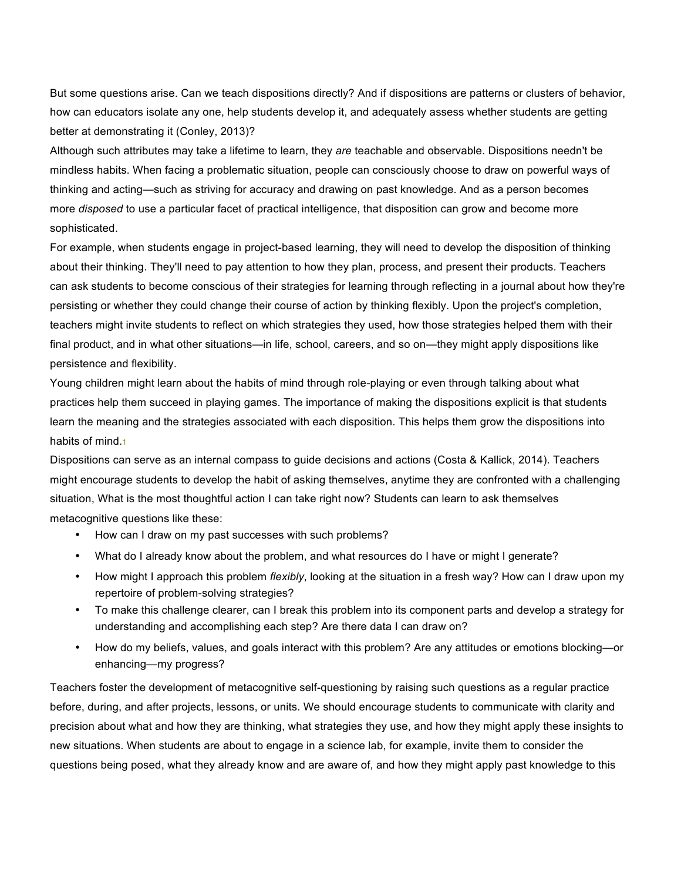But some questions arise. Can we teach dispositions directly? And if dispositions are patterns or clusters of behavior, how can educators isolate any one, help students develop it, and adequately assess whether students are getting better at demonstrating it (Conley, 2013)?

Although such attributes may take a lifetime to learn, they *are* teachable and observable. Dispositions needn't be mindless habits. When facing a problematic situation, people can consciously choose to draw on powerful ways of thinking and acting—such as striving for accuracy and drawing on past knowledge. And as a person becomes more *disposed* to use a particular facet of practical intelligence, that disposition can grow and become more sophisticated.

For example, when students engage in project-based learning, they will need to develop the disposition of thinking about their thinking. They'll need to pay attention to how they plan, process, and present their products. Teachers can ask students to become conscious of their strategies for learning through reflecting in a journal about how they're persisting or whether they could change their course of action by thinking flexibly. Upon the project's completion, teachers might invite students to reflect on which strategies they used, how those strategies helped them with their final product, and in what other situations—in life, school, careers, and so on—they might apply dispositions like persistence and flexibility.

Young children might learn about the habits of mind through role-playing or even through talking about what practices help them succeed in playing games. The importance of making the dispositions explicit is that students learn the meaning and the strategies associated with each disposition. This helps them grow the dispositions into habits of mind.<sup>1</sup>

Dispositions can serve as an internal compass to guide decisions and actions (Costa & Kallick, 2014). Teachers might encourage students to develop the habit of asking themselves, anytime they are confronted with a challenging situation, What is the most thoughtful action I can take right now? Students can learn to ask themselves metacognitive questions like these:

- How can I draw on my past successes with such problems?
- What do I already know about the problem, and what resources do I have or might I generate?
- How might I approach this problem *flexibly*, looking at the situation in a fresh way? How can I draw upon my repertoire of problem-solving strategies?
- To make this challenge clearer, can I break this problem into its component parts and develop a strategy for understanding and accomplishing each step? Are there data I can draw on?
- How do my beliefs, values, and goals interact with this problem? Are any attitudes or emotions blocking—or enhancing—my progress?

Teachers foster the development of metacognitive self-questioning by raising such questions as a regular practice before, during, and after projects, lessons, or units. We should encourage students to communicate with clarity and precision about what and how they are thinking, what strategies they use, and how they might apply these insights to new situations. When students are about to engage in a science lab, for example, invite them to consider the questions being posed, what they already know and are aware of, and how they might apply past knowledge to this